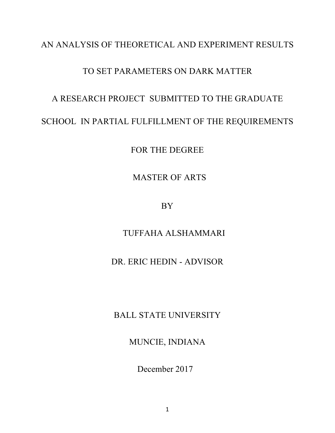# AN ANALYSIS OF THEORETICAL AND EXPERIMENT RESULTS

# TO SET PARAMETERS ON DARK MATTER

# A RESEARCH PROJECT SUBMITTED TO THE GRADUATE

# SCHOOL IN PARTIAL FULFILLMENT OF THE REQUIREMENTS

FOR THE DEGREE

MASTER OF ARTS

BY

TUFFAHA ALSHAMMARI

# DR. ERIC HEDIN - ADVISOR

BALL STATE UNIVERSITY

MUNCIE, INDIANA

December 2017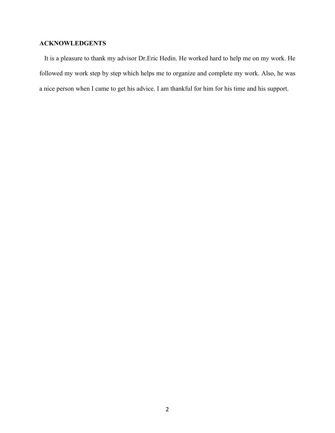# **ACKNOWLEDGENTS**

 It is a pleasure to thank my advisor Dr.Eric Hedin. He worked hard to help me on my work. He followed my work step by step which helps me to organize and complete my work. Also, he was a nice person when I came to get his advice. I am thankful for him for his time and his support.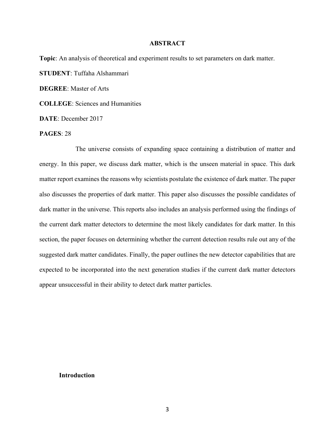# **ABSTRACT**

**Topic**: An analysis of theoretical and experiment results to set parameters on dark matter. **STUDENT**: Tuffaha Alshammari **DEGREE**: Master of Arts **COLLEGE**: Sciences and Humanities **DATE**: December 2017

**PAGES**: 28

 The universe consists of expanding space containing a distribution of matter and energy. In this paper, we discuss dark matter, which is the unseen material in space. This dark matter report examines the reasons why scientists postulate the existence of dark matter. The paper also discusses the properties of dark matter. This paper also discusses the possible candidates of dark matter in the universe. This reports also includes an analysis performed using the findings of the current dark matter detectors to determine the most likely candidates for dark matter. In this section, the paper focuses on determining whether the current detection results rule out any of the suggested dark matter candidates. Finally, the paper outlines the new detector capabilities that are expected to be incorporated into the next generation studies if the current dark matter detectors appear unsuccessful in their ability to detect dark matter particles.

### **Introduction**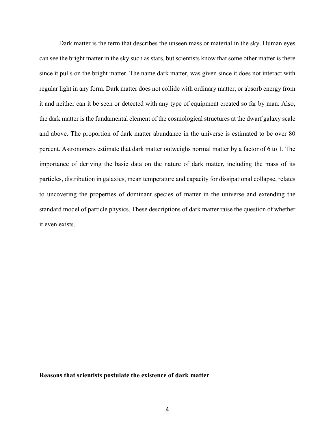Dark matter is the term that describes the unseen mass or material in the sky. Human eyes can see the bright matter in the sky such as stars, but scientists know that some other matter is there since it pulls on the bright matter. The name dark matter, was given since it does not interact with regular light in any form. Dark matter does not collide with ordinary matter, or absorb energy from it and neither can it be seen or detected with any type of equipment created so far by man. Also, the dark matter is the fundamental element of the cosmological structures at the dwarf galaxy scale and above. The proportion of dark matter abundance in the universe is estimated to be over 80 percent. Astronomers estimate that dark matter outweighs normal matter by a factor of 6 to 1. The importance of deriving the basic data on the nature of dark matter, including the mass of its particles, distribution in galaxies, mean temperature and capacity for dissipational collapse, relates to uncovering the properties of dominant species of matter in the universe and extending the standard model of particle physics. These descriptions of dark matter raise the question of whether it even exists.

#### **Reasons that scientists postulate the existence of dark matter**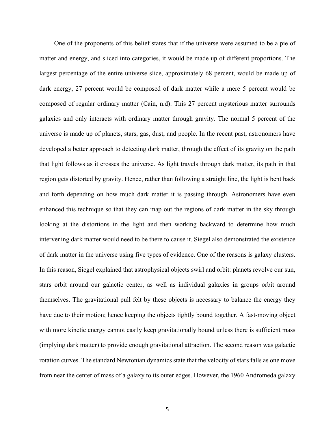One of the proponents of this belief states that if the universe were assumed to be a pie of matter and energy, and sliced into categories, it would be made up of different proportions. The largest percentage of the entire universe slice, approximately 68 percent, would be made up of dark energy, 27 percent would be composed of dark matter while a mere 5 percent would be composed of regular ordinary matter (Cain, n.d). This 27 percent mysterious matter surrounds galaxies and only interacts with ordinary matter through gravity. The normal 5 percent of the universe is made up of planets, stars, gas, dust, and people. In the recent past, astronomers have developed a better approach to detecting dark matter, through the effect of its gravity on the path that light follows as it crosses the universe. As light travels through dark matter, its path in that region gets distorted by gravity. Hence, rather than following a straight line, the light is bent back and forth depending on how much dark matter it is passing through. Astronomers have even enhanced this technique so that they can map out the regions of dark matter in the sky through looking at the distortions in the light and then working backward to determine how much intervening dark matter would need to be there to cause it. Siegel also demonstrated the existence of dark matter in the universe using five types of evidence. One of the reasons is galaxy clusters. In this reason, Siegel explained that astrophysical objects swirl and orbit: planets revolve our sun, stars orbit around our galactic center, as well as individual galaxies in groups orbit around themselves. The gravitational pull felt by these objects is necessary to balance the energy they have due to their motion; hence keeping the objects tightly bound together. A fast-moving object with more kinetic energy cannot easily keep gravitationally bound unless there is sufficient mass (implying dark matter) to provide enough gravitational attraction. The second reason was galactic rotation curves. The standard Newtonian dynamics state that the velocity of stars falls as one move from near the center of mass of a galaxy to its outer edges. However, the 1960 Andromeda galaxy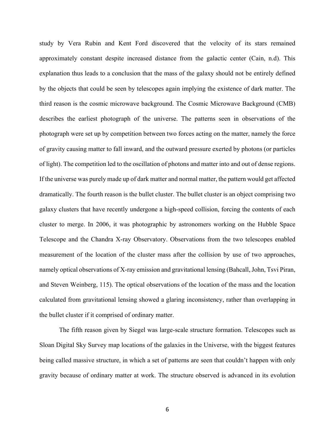study by Vera Rubin and Kent Ford discovered that the velocity of its stars remained approximately constant despite increased distance from the galactic center (Cain, n.d). This explanation thus leads to a conclusion that the mass of the galaxy should not be entirely defined by the objects that could be seen by telescopes again implying the existence of dark matter. The third reason is the cosmic microwave background. The Cosmic Microwave Background (CMB) describes the earliest photograph of the universe. The patterns seen in observations of the photograph were set up by competition between two forces acting on the matter, namely the force of gravity causing matter to fall inward, and the outward pressure exerted by photons (or particles of light). The competition led to the oscillation of photons and matter into and out of dense regions. If the universe was purely made up of dark matter and normal matter, the pattern would get affected dramatically. The fourth reason is the bullet cluster. The bullet cluster is an object comprising two galaxy clusters that have recently undergone a high-speed collision, forcing the contents of each cluster to merge. In 2006, it was photographic by astronomers working on the Hubble Space Telescope and the Chandra X-ray Observatory. Observations from the two telescopes enabled measurement of the location of the cluster mass after the collision by use of two approaches, namely optical observations of X-ray emission and gravitational lensing (Bahcall, John, Tsvi Piran, and Steven Weinberg, 115). The optical observations of the location of the mass and the location calculated from gravitational lensing showed a glaring inconsistency, rather than overlapping in the bullet cluster if it comprised of ordinary matter.

The fifth reason given by Siegel was large-scale structure formation. Telescopes such as Sloan Digital Sky Survey map locations of the galaxies in the Universe, with the biggest features being called massive structure, in which a set of patterns are seen that couldn't happen with only gravity because of ordinary matter at work. The structure observed is advanced in its evolution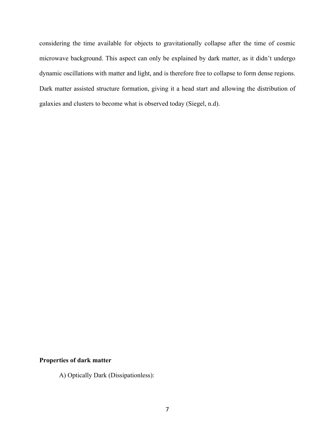considering the time available for objects to gravitationally collapse after the time of cosmic microwave background. This aspect can only be explained by dark matter, as it didn't undergo dynamic oscillations with matter and light, and is therefore free to collapse to form dense regions. Dark matter assisted structure formation, giving it a head start and allowing the distribution of galaxies and clusters to become what is observed today (Siegel, n.d).

# **Properties of dark matter**

A) Optically Dark (Dissipationless):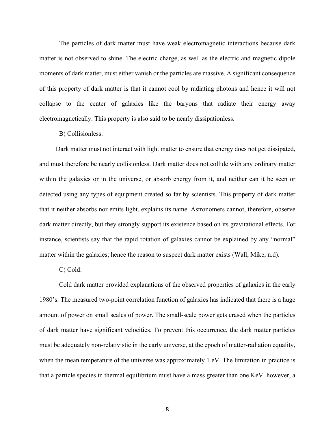The particles of dark matter must have weak electromagnetic interactions because dark matter is not observed to shine. The electric charge, as well as the electric and magnetic dipole moments of dark matter, must either vanish or the particles are massive. A significant consequence of this property of dark matter is that it cannot cool by radiating photons and hence it will not collapse to the center of galaxies like the baryons that radiate their energy away electromagnetically. This property is also said to be nearly dissipationless.

# B) Collisionless:

 Dark matter must not interact with light matter to ensure that energy does not get dissipated, and must therefore be nearly collisionless. Dark matter does not collide with any ordinary matter within the galaxies or in the universe, or absorb energy from it, and neither can it be seen or detected using any types of equipment created so far by scientists. This property of dark matter that it neither absorbs nor emits light, explains its name. Astronomers cannot, therefore, observe dark matter directly, but they strongly support its existence based on its gravitational effects. For instance, scientists say that the rapid rotation of galaxies cannot be explained by any "normal" matter within the galaxies; hence the reason to suspect dark matter exists (Wall, Mike, n.d).

### C) Cold:

Cold dark matter provided explanations of the observed properties of galaxies in the early 1980's. The measured two-point correlation function of galaxies has indicated that there is a huge amount of power on small scales of power. The small-scale power gets erased when the particles of dark matter have significant velocities. To prevent this occurrence, the dark matter particles must be adequately non-relativistic in the early universe, at the epoch of matter-radiation equality, when the mean temperature of the universe was approximately 1 eV. The limitation in practice is that a particle species in thermal equilibrium must have a mass greater than one KeV. however, a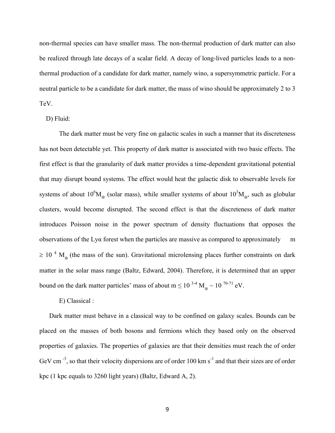non-thermal species can have smaller mass. The non-thermal production of dark matter can also be realized through late decays of a scalar field. A decay of long-lived particles leads to a nonthermal production of a candidate for dark matter, namely wino, a supersymmetric particle. For a neutral particle to be a candidate for dark matter, the mass of wino should be approximately 2 to 3 TeV.

### D) Fluid:

The dark matter must be very fine on galactic scales in such a manner that its discreteness has not been detectable yet. This property of dark matter is associated with two basic effects. The first effect is that the granularity of dark matter provides a time-dependent gravitational potential that may disrupt bound systems. The effect would heat the galactic disk to observable levels for systems of about  $10^6M_{\odot}$  (solar mass), while smaller systems of about  $10^3M_{\odot}$ , such as globular clusters, would become disrupted. The second effect is that the discreteness of dark matter introduces Poisson noise in the power spectrum of density fluctuations that opposes the observations of the Lyα forest when the particles are massive as compared to approximately m  $\geq$  10<sup>4</sup> M<sub>o</sub> (the mass of the sun). Gravitational microlensing places further constraints on dark matter in the solar mass range (Baltz, Edward, 2004). Therefore, it is determined that an upper bound on the dark matter particles' mass of about  $m \le 10^{-3.4} M_{\odot} \sim 10^{-70.71}$  eV.

## E) Classical :

Dark matter must behave in a classical way to be confined on galaxy scales. Bounds can be placed on the masses of both bosons and fermions which they based only on the observed properties of galaxies. The properties of galaxies are that their densities must reach the of order GeV cm<sup>-3</sup>, so that their velocity dispersions are of order 100 km s<sup>-1</sup> and that their sizes are of order kpc (1 kpc equals to 3260 light years) (Baltz, Edward A, 2).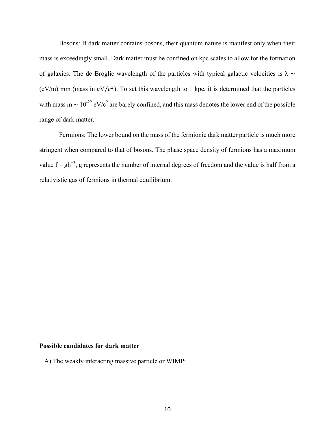Bosons: If dark matter contains bosons, their quantum nature is manifest only when their mass is exceedingly small. Dark matter must be confined on kpc scales to allow for the formation of galaxies. The de Broglic wavelength of the particles with typical galactic velocities is  $\lambda \sim$ (eV/m) mm (mass in eV/ $c<sup>2</sup>$ ). To set this wavelength to 1 kpc, it is determined that the particles with mass m ~  $10^{-22}$  eV/c<sup>2</sup> are barely confined, and this mass denotes the lower end of the possible range of dark matter.

Fermions: The lower bound on the mass of the fermionic dark matter particle is much more stringent when compared to that of bosons. The phase space density of fermions has a maximum value  $f = gh^{-3}$ , g represents the number of internal degrees of freedom and the value is half from a relativistic gas of fermions in thermal equilibrium.

# **Possible candidates for dark matter**

A) The weakly interacting massive particle or WIMP: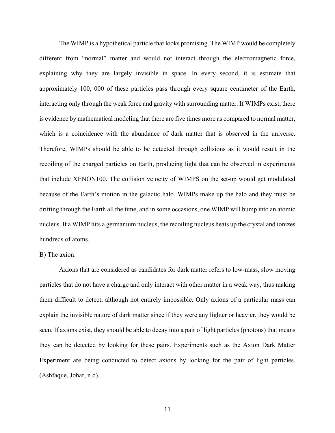The WIMP is a hypothetical particle that looks promising. The WIMP would be completely different from "normal" matter and would not interact through the electromagnetic force, explaining why they are largely invisible in space. In every second, it is estimate that approximately 100, 000 of these particles pass through every square centimeter of the Earth, interacting only through the weak force and gravity with surrounding matter. If WIMPs exist, there is evidence by mathematical modeling that there are five times more as compared to normal matter, which is a coincidence with the abundance of dark matter that is observed in the universe. Therefore, WIMPs should be able to be detected through collisions as it would result in the recoiling of the charged particles on Earth, producing light that can be observed in experiments that include XENON100. The collision velocity of WIMPS on the set-up would get modulated because of the Earth's motion in the galactic halo. WIMPs make up the halo and they must be drifting through the Earth all the time, and in some occasions, one WIMP will bump into an atomic nucleus. If a WIMP hits a germanium nucleus, the recoiling nucleus heats up the crystal and ionizes hundreds of atoms.

# B) The axion:

Axions that are considered as candidates for dark matter refers to low-mass, slow moving particles that do not have a charge and only interact with other matter in a weak way, thus making them difficult to detect, although not entirely impossible. Only axions of a particular mass can explain the invisible nature of dark matter since if they were any lighter or heavier, they would be seen. If axions exist, they should be able to decay into a pair of light particles (photons) that means they can be detected by looking for these pairs. Experiments such as the Axion Dark Matter Experiment are being conducted to detect axions by looking for the pair of light particles. (Ashfaque, Johar, n.d).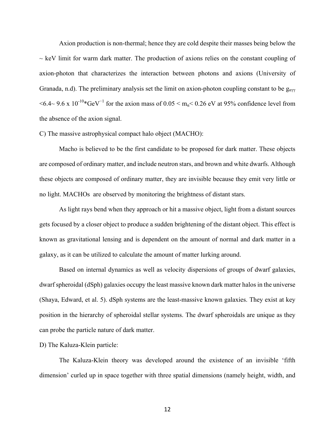Axion production is non-thermal; hence they are cold despite their masses being below the  $\sim$  keV limit for warm dark matter. The production of axions relies on the constant coupling of axion-photon that characterizes the interaction between photons and axions (University of Granada, n.d). The preliminary analysis set the limit on axion-photon coupling constant to be  $g_{\alpha\gamma\gamma}$  $<6.4$ ~ 9.6 x 10<sup>-10</sup>\*GeV<sup>-1</sup> for the axion mass of 0.05 < m<sub>α</sub> < 0.26 eV at 95% confidence level from the absence of the axion signal.

# C) The massive astrophysical compact halo object (MACHO):

Macho is believed to be the first candidate to be proposed for dark matter. These objects are composed of ordinary matter, and include neutron stars, and brown and white dwarfs. Although these objects are composed of ordinary matter, they are invisible because they emit very little or no light. MACHOs are observed by monitoring the brightness of distant stars.

As light rays bend when they approach or hit a massive object, light from a distant sources gets focused by a closer object to produce a sudden brightening of the distant object. This effect is known as gravitational lensing and is dependent on the amount of normal and dark matter in a galaxy, as it can be utilized to calculate the amount of matter lurking around.

Based on internal dynamics as well as velocity dispersions of groups of dwarf galaxies, dwarf spheroidal (dSph) galaxies occupy the least massive known dark matter halos in the universe (Shaya, Edward, et al. 5). dSph systems are the least-massive known galaxies. They exist at key position in the hierarchy of spheroidal stellar systems. The dwarf spheroidals are unique as they can probe the particle nature of dark matter.

### D) The Kaluza-Klein particle:

The Kaluza-Klein theory was developed around the existence of an invisible 'fifth dimension' curled up in space together with three spatial dimensions (namely height, width, and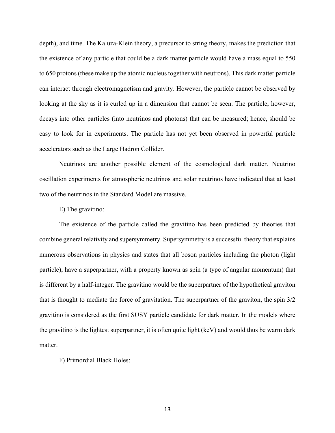depth), and time. The Kaluza-Klein theory, a precursor to string theory, makes the prediction that the existence of any particle that could be a dark matter particle would have a mass equal to 550 to 650 protons (these make up the atomic nucleus together with neutrons). This dark matter particle can interact through electromagnetism and gravity. However, the particle cannot be observed by looking at the sky as it is curled up in a dimension that cannot be seen. The particle, however, decays into other particles (into neutrinos and photons) that can be measured; hence, should be easy to look for in experiments. The particle has not yet been observed in powerful particle accelerators such as the Large Hadron Collider.

Neutrinos are another possible element of the cosmological dark matter. Neutrino oscillation experiments for atmospheric neutrinos and solar neutrinos have indicated that at least two of the neutrinos in the Standard Model are massive.

E) The gravitino:

The existence of the particle called the gravitino has been predicted by theories that combine general relativity and supersymmetry. Supersymmetry is a successful theory that explains numerous observations in physics and states that all boson particles including the photon (light particle), have a superpartner, with a property known as spin (a type of angular momentum) that is different by a half-integer. The gravitino would be the superpartner of the hypothetical graviton that is thought to mediate the force of gravitation. The superpartner of the graviton, the spin 3/2 gravitino is considered as the first SUSY particle candidate for dark matter. In the models where the gravitino is the lightest superpartner, it is often quite light (keV) and would thus be warm dark matter.

F) Primordial Black Holes: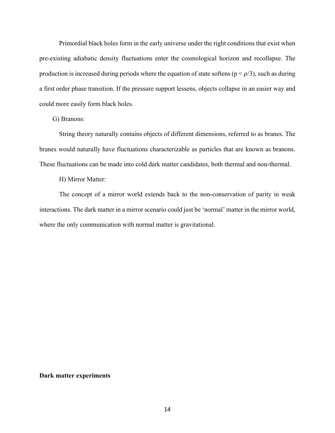Primordial black holes form in the early universe under the right conditions that exist when pre-existing adiabatic density fluctuations enter the cosmological horizon and recollapse. The production is increased during periods where the equation of state softens ( $p < \rho/3$ ), such as during a first order phase transition. If the pressure support lessens, objects collapse in an easier way and could more easily form black holes.

### G) Branons:

String theory naturally contains objects of different dimensions, referred to as branes. The branes would naturally have fluctuations characterizable as particles that are known as branons. These fluctuations can be made into cold dark matter candidates, both thermal and non-thermal.

#### H) Mirror Matter:

The concept of a mirror world extends back to the non-conservation of parity in weak interactions. The dark matter in a mirror scenario could just be 'normal' matter in the mirror world, where the only communication with normal matter is gravitational.

#### **Dark matter experiments**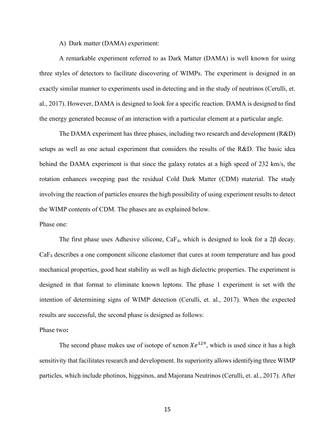A) Dark matter (DAMA) experiment:

A remarkable experiment referred to as Dark Matter (DAMA) is well known for using three styles of detectors to facilitate discovering of WIMPs. The experiment is designed in an exactly similar manner to experiments used in detecting and in the study of neutrinos (Cerulli, et. al., 2017). However, DAMA is designed to look for a specific reaction. DAMA is designed to find the energy generated because of an interaction with a particular element at a particular angle.

The DAMA experiment has three phases, including two research and development (R&D) setups as well as one actual experiment that considers the results of the R&D. The basic idea behind the DAMA experiment is that since the galaxy rotates at a high speed of 232 km/s, the rotation enhances sweeping past the residual Cold Dark Matter (CDM) material. The study involving the reaction of particles ensures the high possibility of using experiment results to detect the WIMP contents of CDM. The phases are as explained below.

Phase one:

The first phase uses Adhesive silicone,  $CaF_4$ , which is designed to look for a 2 $\beta$  decay. CaF4 describes a one component silicone elastomer that cures at room temperature and has good mechanical properties, good heat stability as well as high dielectric properties. The experiment is designed in that format to eliminate known leptons. The phase 1 experiment is set with the intention of determining signs of WIMP detection (Cerulli, et. al., 2017). When the expected results are successful, the second phase is designed as follows:

Phase two**:**

The second phase makes use of isotope of xenon  $Xe^{129}$ , which is used since it has a high sensitivity that facilitates research and development. Its superiority allows identifying three WIMP particles, which include photinos, higgsinos, and Majorana Neutrinos (Cerulli, et. al., 2017). After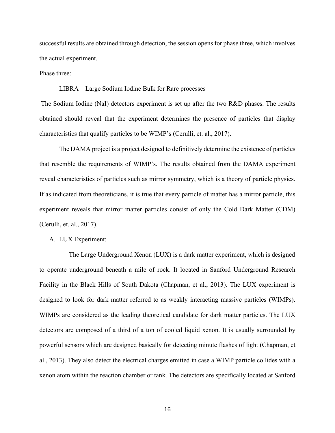successful results are obtained through detection, the session opens for phase three, which involves the actual experiment.

Phase three:

LIBRA – Large Sodium Iodine Bulk for Rare processes

The Sodium Iodine (NaI) detectors experiment is set up after the two R&D phases. The results obtained should reveal that the experiment determines the presence of particles that display characteristics that qualify particles to be WIMP's (Cerulli, et. al., 2017).

The DAMA project is a project designed to definitively determine the existence of particles that resemble the requirements of WIMP's. The results obtained from the DAMA experiment reveal characteristics of particles such as mirror symmetry, which is a theory of particle physics. If as indicated from theoreticians, it is true that every particle of matter has a mirror particle, this experiment reveals that mirror matter particles consist of only the Cold Dark Matter (CDM) (Cerulli, et. al., 2017).

A. LUX Experiment:

The Large Underground Xenon (LUX) is a dark matter experiment, which is designed to operate underground beneath a mile of rock. It located in Sanford Underground Research Facility in the Black Hills of South Dakota (Chapman, et al., 2013). The LUX experiment is designed to look for dark matter referred to as weakly interacting massive particles (WIMPs). WIMPs are considered as the leading theoretical candidate for dark matter particles. The LUX detectors are composed of a third of a ton of cooled liquid xenon. It is usually surrounded by powerful sensors which are designed basically for detecting minute flashes of light (Chapman, et al., 2013). They also detect the electrical charges emitted in case a WIMP particle collides with a xenon atom within the reaction chamber or tank. The detectors are specifically located at Sanford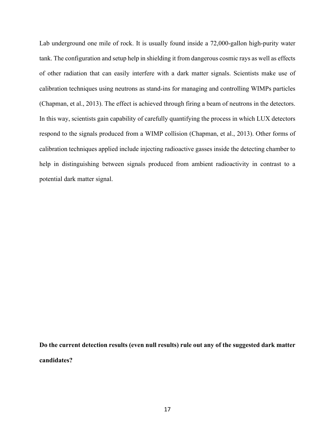Lab underground one mile of rock. It is usually found inside a 72,000-gallon high-purity water tank. The configuration and setup help in shielding it from dangerous cosmic rays as well as effects of other radiation that can easily interfere with a dark matter signals. Scientists make use of calibration techniques using neutrons as stand-ins for managing and controlling WIMPs particles (Chapman, et al., 2013). The effect is achieved through firing a beam of neutrons in the detectors. In this way, scientists gain capability of carefully quantifying the process in which LUX detectors respond to the signals produced from a WIMP collision (Chapman, et al., 2013). Other forms of calibration techniques applied include injecting radioactive gasses inside the detecting chamber to help in distinguishing between signals produced from ambient radioactivity in contrast to a potential dark matter signal.

**Do the current detection results (even null results) rule out any of the suggested dark matter candidates?**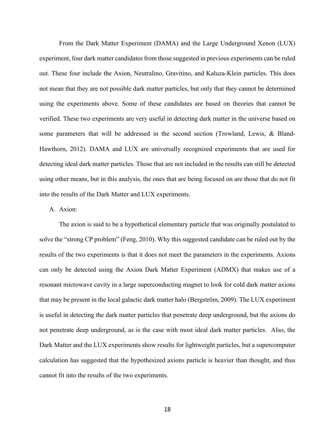From the Dark Matter Experiment (DAMA) and the Large Underground Xenon (LUX) experiment, four dark matter candidates from those suggested in previous experiments can be ruled out. These four include the Axion, Neutralino, Gravitino, and Kaluza-Klein particles. This does not mean that they are not possible dark matter particles, but only that they cannot be determined using the experiments above. Some of these candidates are based on theories that cannot be verified. These two experiments are very useful in detecting dark matter in the universe based on some parameters that will be addressed in the second section (Trowland, Lewis, & Bland-Hawthorn, 2012). DAMA and LUX are universally recognized experiments that are used for detecting ideal dark matter particles. Those that are not included in the results can still be detected using other means, but in this analysis, the ones that are being focused on are those that do not fit into the results of the Dark Matter and LUX experiments.

### A. Axion:

The axion is said to be a hypothetical elementary particle that was originally postulated to solve the "strong CP problem" (Feng, 2010). Why this suggested candidate can be ruled out by the results of the two experiments is that it does not meet the parameters in the experiments. Axions can only be detected using the Axion Dark Matter Experiment (ADMX) that makes use of a resonant microwave cavity in a large superconducting magnet to look for cold dark matter axions that may be present in the local galactic dark matter halo (Bergström, 2009). The LUX experiment is useful in detecting the dark matter particles that penetrate deep underground, but the axions do not penetrate deep underground, as is the case with most ideal dark matter particles. Also, the Dark Matter and the LUX experiments show results for lightweight particles, but a supercomputer calculation has suggested that the hypothesized axions particle is heavier than thought, and thus cannot fit into the results of the two experiments.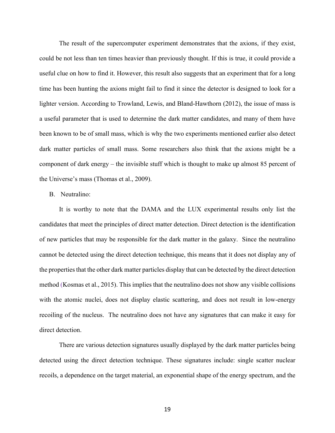The result of the supercomputer experiment demonstrates that the axions, if they exist, could be not less than ten times heavier than previously thought. If this is true, it could provide a useful clue on how to find it. However, this result also suggests that an experiment that for a long time has been hunting the axions might fail to find it since the detector is designed to look for a lighter version. According to Trowland, Lewis, and Bland-Hawthorn (2012), the issue of mass is a useful parameter that is used to determine the dark matter candidates, and many of them have been known to be of small mass, which is why the two experiments mentioned earlier also detect dark matter particles of small mass. Some researchers also think that the axions might be a component of dark energy – the invisible stuff which is thought to make up almost 85 percent of the Universe's mass (Thomas et al., 2009).

#### B. Neutralino:

It is worthy to note that the DAMA and the LUX experimental results only list the candidates that meet the principles of direct matter detection. Direct detection is the identification of new particles that may be responsible for the dark matter in the galaxy. Since the neutralino cannot be detected using the direct detection technique, this means that it does not display any of the properties that the other dark matter particles display that can be detected by the direct detection method (Kosmas et al., 2015). This implies that the neutralino does not show any visible collisions with the atomic nuclei, does not display elastic scattering, and does not result in low-energy recoiling of the nucleus. The neutralino does not have any signatures that can make it easy for direct detection.

There are various detection signatures usually displayed by the dark matter particles being detected using the direct detection technique. These signatures include: single scatter nuclear recoils, a dependence on the target material, an exponential shape of the energy spectrum, and the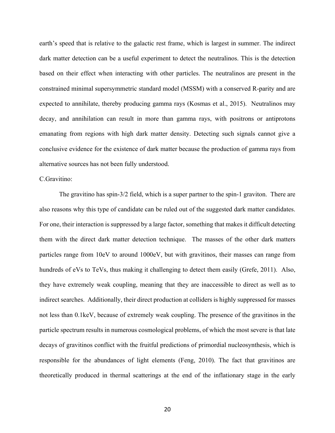earth's speed that is relative to the galactic rest frame, which is largest in summer. The indirect dark matter detection can be a useful experiment to detect the neutralinos. This is the detection based on their effect when interacting with other particles. The neutralinos are present in the constrained minimal supersymmetric standard model (MSSM) with a conserved R-parity and are expected to annihilate, thereby producing gamma rays (Kosmas et al., 2015). Neutralinos may decay, and annihilation can result in more than gamma rays, with positrons or antiprotons emanating from regions with high dark matter density. Detecting such signals cannot give a conclusive evidence for the existence of dark matter because the production of gamma rays from alternative sources has not been fully understood.

# C.Gravitino:

The gravitino has spin-3/2 field, which is a super partner to the spin-1 graviton. There are also reasons why this type of candidate can be ruled out of the suggested dark matter candidates. For one, their interaction is suppressed by a large factor, something that makes it difficult detecting them with the direct dark matter detection technique. The masses of the other dark matters particles range from 10eV to around 1000eV, but with gravitinos, their masses can range from hundreds of eVs to TeVs, thus making it challenging to detect them easily (Grefe, 2011). Also, they have extremely weak coupling, meaning that they are inaccessible to direct as well as to indirect searches. Additionally, their direct production at colliders is highly suppressed for masses not less than 0.1keV, because of extremely weak coupling. The presence of the gravitinos in the particle spectrum results in numerous cosmological problems, of which the most severe is that late decays of gravitinos conflict with the fruitful predictions of primordial nucleosynthesis, which is responsible for the abundances of light elements (Feng, 2010). The fact that gravitinos are theoretically produced in thermal scatterings at the end of the inflationary stage in the early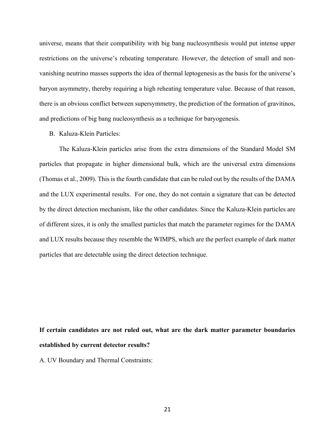universe, means that their compatibility with big bang nucleosynthesis would put intense upper restrictions on the universe's reheating temperature. However, the detection of small and nonvanishing neutrino masses supports the idea of thermal leptogenesis as the basis for the universe's baryon asymmetry, thereby requiring a high reheating temperature value. Because of that reason, there is an obvious conflict between supersymmetry, the prediction of the formation of gravitinos, and predictions of big bang nucleosynthesis as a technique for baryogenesis.

B. Kaluza-Klein Particles:

The Kaluza-Klein particles arise from the extra dimensions of the Standard Model SM particles that propagate in higher dimensional bulk, which are the universal extra dimensions (Thomas et al., 2009). This is the fourth candidate that can be ruled out by the results of the DAMA and the LUX experimental results. For one, they do not contain a signature that can be detected by the direct detection mechanism, like the other candidates. Since the Kaluza-Klein particles are of different sizes, it is only the smallest particles that match the parameter regimes for the DAMA and LUX results because they resemble the WIMPS, which are the perfect example of dark matter particles that are detectable using the direct detection technique.

# **If certain candidates are not ruled out, what are the dark matter parameter boundaries established by current detector results?**

A. UV Boundary and Thermal Constraints: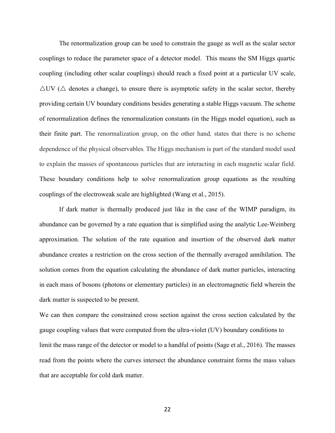The renormalization group can be used to constrain the gauge as well as the scalar sector couplings to reduce the parameter space of a detector model. This means the SM Higgs quartic coupling (including other scalar couplings) should reach a fixed point at a particular UV scale,  $\Delta$ UV ( $\Delta$  denotes a change), to ensure there is asymptotic safety in the scalar sector, thereby providing certain UV boundary conditions besides generating a stable Higgs vacuum. The scheme of renormalization defines the renormalization constants (in the Higgs model equation), such as their finite part. The renormalization group, on the other hand*,* states that there is no scheme dependence of the physical observables*.* The Higgs mechanism is part of the standard model used to explain the masses of spontaneous particles that are interacting in each magnetic scalar field. These boundary conditions help to solve renormalization group equations as the resulting couplings of the electroweak scale are highlighted (Wang et al., 2015).

If dark matter is thermally produced just like in the case of the WIMP paradigm, its abundance can be governed by a rate equation that is simplified using the analytic Lee-Weinberg approximation. The solution of the rate equation and insertion of the observed dark matter abundance creates a restriction on the cross section of the thermally averaged annihilation. The solution comes from the equation calculating the abundance of dark matter particles, interacting in each mass of bosons (photons or elementary particles) in an electromagnetic field wherein the dark matter is suspected to be present.

We can then compare the constrained cross section against the cross section calculated by the gauge coupling values that were computed from the ultra-violet (UV) boundary conditions to limit the mass range of the detector or model to a handful of points (Sage et al., 2016). The masses read from the points where the curves intersect the abundance constraint forms the mass values that are acceptable for cold dark matter.

22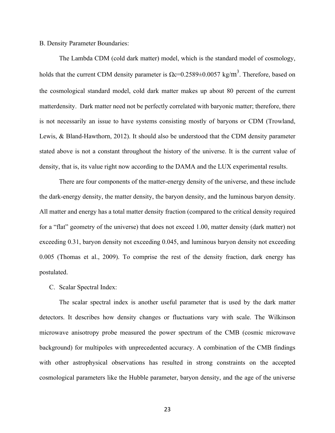B. Density Parameter Boundaries:

The Lambda CDM (cold dark matter) model, which is the standard model of cosmology, holds that the current CDM density parameter is  $\Omega$ c=0.2589 $\pm$ 0.0057 kg/m<sup>3</sup>. Therefore, based on the cosmological standard model, cold dark matter makes up about 80 percent of the current matterdensity. Dark matter need not be perfectly correlated with baryonic matter; therefore, there is not necessarily an issue to have systems consisting mostly of baryons or CDM (Trowland, Lewis, & Bland-Hawthorn, 2012). It should also be understood that the CDM density parameter stated above is not a constant throughout the history of the universe. It is the current value of density, that is, its value right now according to the DAMA and the LUX experimental results.

There are four components of the matter-energy density of the universe, and these include the dark-energy density, the matter density, the baryon density, and the luminous baryon density. All matter and energy has a total matter density fraction (compared to the critical density required for a "flat" geometry of the universe) that does not exceed 1.00, matter density (dark matter) not exceeding 0.31, baryon density not exceeding 0.045, and luminous baryon density not exceeding 0.005 (Thomas et al., 2009). To comprise the rest of the density fraction, dark energy has postulated.

C. Scalar Spectral Index:

The scalar spectral index is another useful parameter that is used by the dark matter detectors. It describes how density changes or fluctuations vary with scale. The Wilkinson microwave anisotropy probe measured the power spectrum of the CMB (cosmic microwave background) for multipoles with unprecedented accuracy. A combination of the CMB findings with other astrophysical observations has resulted in strong constraints on the accepted cosmological parameters like the Hubble parameter, baryon density, and the age of the universe

23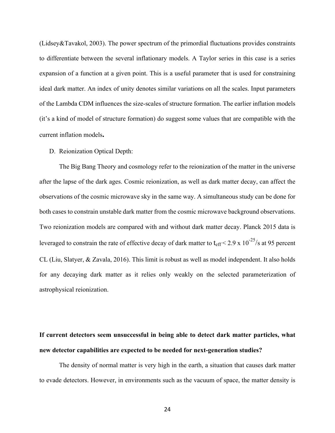(Lidsey&Tavakol, 2003). The power spectrum of the primordial fluctuations provides constraints to differentiate between the several inflationary models. A Taylor series in this case is a series expansion of a function at a given point. This is a useful parameter that is used for constraining ideal dark matter. An index of unity denotes similar variations on all the scales. Input parameters of the Lambda CDM influences the size-scales of structure formation. The earlier inflation models (it's a kind of model of structure formation) do suggest some values that are compatible with the current inflation models**.**

#### D. Reionization Optical Depth:

The Big Bang Theory and cosmology refer to the reionization of the matter in the universe after the lapse of the dark ages. Cosmic reionization, as well as dark matter decay, can affect the observations of the cosmic microwave sky in the same way. A simultaneous study can be done for both cases to constrain unstable dark matter from the cosmic microwave background observations. Two reionization models are compared with and without dark matter decay. Planck 2015 data is leveraged to constrain the rate of effective decay of dark matter to  $t_{\text{eff}}$  < 2.9 x 10<sup>-25</sup>/s at 95 percent CL (Liu, Slatyer, & Zavala, 2016). This limit is robust as well as model independent. It also holds for any decaying dark matter as it relies only weakly on the selected parameterization of astrophysical reionization.

# **If current detectors seem unsuccessful in being able to detect dark matter particles, what new detector capabilities are expected to be needed for next-generation studies?**

The density of normal matter is very high in the earth, a situation that causes dark matter to evade detectors. However, in environments such as the vacuum of space, the matter density is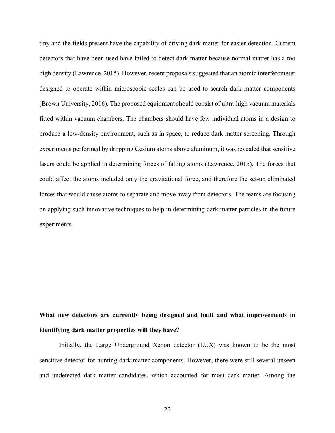tiny and the fields present have the capability of driving dark matter for easier detection. Current detectors that have been used have failed to detect dark matter because normal matter has a too high density (Lawrence, 2015). However, recent proposals suggested that an atomic interferometer designed to operate within microscopic scales can be used to search dark matter components (Brown University, 2016). The proposed equipment should consist of ultra-high vacuum materials fitted within vacuum chambers. The chambers should have few individual atoms in a design to produce a low-density environment, such as in space, to reduce dark matter screening. Through experiments performed by dropping Cesium atoms above aluminum, it was revealed that sensitive lasers could be applied in determining forces of falling atoms (Lawrence, 2015). The forces that could affect the atoms included only the gravitational force, and therefore the set-up eliminated forces that would cause atoms to separate and move away from detectors. The teams are focusing on applying such innovative techniques to help in determining dark matter particles in the future experiments.

# **What new detectors are currently being designed and built and what improvements in identifying dark matter properties will they have?**

Initially, the Large Underground Xenon detector (LUX) was known to be the most sensitive detector for hunting dark matter components. However, there were still several unseen and undetected dark matter candidates, which accounted for most dark matter. Among the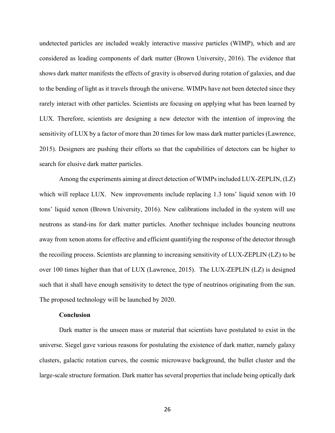undetected particles are included weakly interactive massive particles (WIMP), which and are considered as leading components of dark matter (Brown University, 2016). The evidence that shows dark matter manifests the effects of gravity is observed during rotation of galaxies, and due to the bending of light as it travels through the universe. WIMPs have not been detected since they rarely interact with other particles. Scientists are focusing on applying what has been learned by LUX. Therefore, scientists are designing a new detector with the intention of improving the sensitivity of LUX by a factor of more than 20 times for low mass dark matter particles (Lawrence, 2015). Designers are pushing their efforts so that the capabilities of detectors can be higher to search for elusive dark matter particles.

Among the experiments aiming at direct detection of WIMPs included LUX-ZEPLIN, (LZ) which will replace LUX. New improvements include replacing 1.3 tons' liquid xenon with 10 tons' liquid xenon (Brown University, 2016). New calibrations included in the system will use neutrons as stand-ins for dark matter particles. Another technique includes bouncing neutrons away from xenon atoms for effective and efficient quantifying the response of the detector through the recoiling process. Scientists are planning to increasing sensitivity of LUX-ZEPLIN (LZ) to be over 100 times higher than that of LUX (Lawrence, 2015). The LUX-ZEPLIN (LZ) is designed such that it shall have enough sensitivity to detect the type of neutrinos originating from the sun. The proposed technology will be launched by 2020.

#### **Conclusion**

Dark matter is the unseen mass or material that scientists have postulated to exist in the universe. Siegel gave various reasons for postulating the existence of dark matter, namely galaxy clusters, galactic rotation curves, the cosmic microwave background, the bullet cluster and the large-scale structure formation. Dark matter has several properties that include being optically dark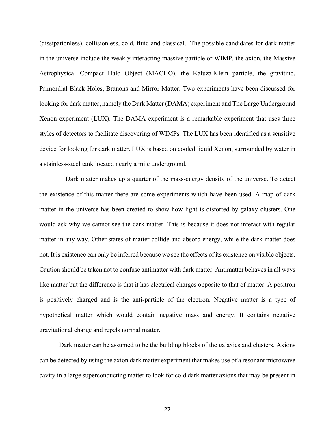(dissipationless), collisionless, cold, fluid and classical. The possible candidates for dark matter in the universe include the weakly interacting massive particle or WIMP, the axion, the Massive Astrophysical Compact Halo Object (MACHO), the Kaluza-Klein particle, the gravitino, Primordial Black Holes, Branons and Mirror Matter. Two experiments have been discussed for looking for dark matter, namely the Dark Matter (DAMA) experiment and The Large Underground Xenon experiment (LUX). The DAMA experiment is a remarkable experiment that uses three styles of detectors to facilitate discovering of WIMPs. The LUX has been identified as a sensitive device for looking for dark matter. LUX is based on cooled liquid Xenon, surrounded by water in a stainless-steel tank located nearly a mile underground.

 Dark matter makes up a quarter of the mass-energy density of the universe. To detect the existence of this matter there are some experiments which have been used. A map of dark matter in the universe has been created to show how light is distorted by galaxy clusters. One would ask why we cannot see the dark matter. This is because it does not interact with regular matter in any way. Other states of matter collide and absorb energy, while the dark matter does not. It is existence can only be inferred because we see the effects of its existence on visible objects. Caution should be taken not to confuse antimatter with dark matter. Antimatter behaves in all ways like matter but the difference is that it has electrical charges opposite to that of matter. A positron is positively charged and is the anti-particle of the electron. Negative matter is a type of hypothetical matter which would contain negative mass and energy. It contains negative gravitational charge and repels normal matter.

Dark matter can be assumed to be the building blocks of the galaxies and clusters. Axions can be detected by using the axion dark matter experiment that makes use of a resonant microwave cavity in a large superconducting matter to look for cold dark matter axions that may be present in

27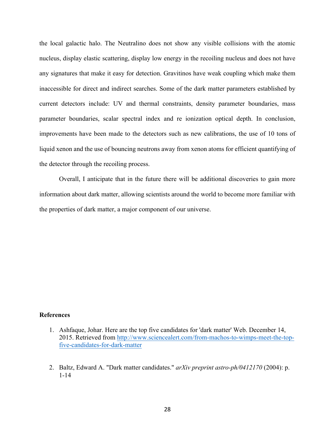the local galactic halo. The Neutralino does not show any visible collisions with the atomic nucleus, display elastic scattering, display low energy in the recoiling nucleus and does not have any signatures that make it easy for detection. Gravitinos have weak coupling which make them inaccessible for direct and indirect searches. Some of the dark matter parameters established by current detectors include: UV and thermal constraints, density parameter boundaries, mass parameter boundaries, scalar spectral index and re ionization optical depth. In conclusion, improvements have been made to the detectors such as new calibrations, the use of 10 tons of liquid xenon and the use of bouncing neutrons away from xenon atoms for efficient quantifying of the detector through the recoiling process.

Overall, I anticipate that in the future there will be additional discoveries to gain more information about dark matter, allowing scientists around the world to become more familiar with the properties of dark matter, a major component of our universe.

### **References**

- 1. Ashfaque, Johar. Here are the top five candidates for 'dark matter' Web. December 14, 2015. Retrieved from http://www.sciencealert.com/from-machos-to-wimps-meet-the-topfive-candidates-for-dark-matter
- 2. Baltz, Edward A. "Dark matter candidates." *arXiv preprint astro-ph/0412170* (2004): p. 1-14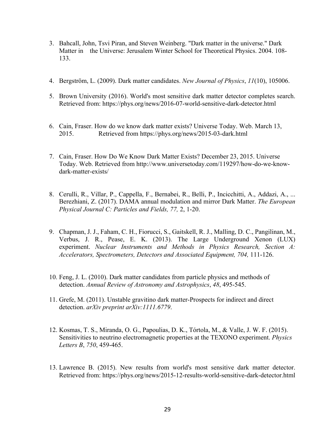- 3. Bahcall, John, Tsvi Piran, and Steven Weinberg. "Dark matter in the universe." Dark Matter in the Universe: Jerusalem Winter School for Theoretical Physics. 2004. 108- 133.
- 4. Bergström, L. (2009). Dark matter candidates. *New Journal of Physics*, *11*(10), 105006.
- 5. Brown University (2016). World's most sensitive dark matter detector completes search. Retrieved from: https://phys.org/news/2016-07-world-sensitive-dark-detector.html
- 6. Cain, Fraser. How do we know dark matter exists? Universe Today. Web. March 13, 2015. Retrieved from https://phys.org/news/2015-03-dark.html
- 7. Cain, Fraser. How Do We Know Dark Matter Exists? December 23, 2015. Universe Today. Web. Retrieved from http://www.universetoday.com/119297/how-do-we-knowdark-matter-exists/
- 8. Cerulli, R., Villar, P., Cappella, F., Bernabei, R., Belli, P., Incicchitti, A., Addazi, A., ... Berezhiani, Z. (2017). DAMA annual modulation and mirror Dark Matter. *The European Physical Journal C: Particles and Fields, 77,* 2, 1-20.
- 9. Chapman, J. J., Faham, C. H., Fiorucci, S., Gaitskell, R. J., Malling, D. C., Pangilinan, M., Verbus, J. R., Pease, E. K. (2013). The Large Underground Xenon (LUX) experiment. *Nuclear Instruments and Methods in Physics Research, Section A: Accelerators, Spectrometers, Detectors and Associated Equipment, 704,* 111-126.
- 10. Feng, J. L. (2010). Dark matter candidates from particle physics and methods of detection. *Annual Review of Astronomy and Astrophysics*, *48*, 495-545.
- 11. Grefe, M. (2011). Unstable gravitino dark matter-Prospects for indirect and direct detection. *arXiv preprint arXiv:1111.6779*.
- 12. Kosmas, T. S., Miranda, O. G., Papoulias, D. K., Tórtola, M., & Valle, J. W. F. (2015). Sensitivities to neutrino electromagnetic properties at the TEXONO experiment. *Physics Letters B*, *750*, 459-465.
- 13. Lawrence B. (2015). New results from world's most sensitive dark matter detector. Retrieved from: https://phys.org/news/2015-12-results-world-sensitive-dark-detector.html